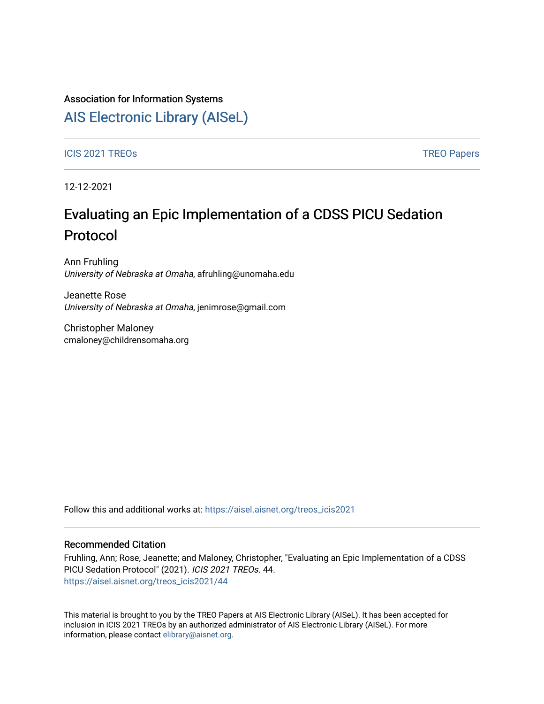### Association for Information Systems

# [AIS Electronic Library \(AISeL\)](https://aisel.aisnet.org/)

### ICIS 2021 TREOS Notes that the contract of the contract of the contract of the contract of the contract of the contract of the contract of the contract of the contract of the contract of the contract of the contract of the

12-12-2021

# Evaluating an Epic Implementation of a CDSS PICU Sedation Protocol

Ann Fruhling University of Nebraska at Omaha, afruhling@unomaha.edu

Jeanette Rose University of Nebraska at Omaha, jenimrose@gmail.com

Christopher Maloney cmaloney@childrensomaha.org

Follow this and additional works at: [https://aisel.aisnet.org/treos\\_icis2021](https://aisel.aisnet.org/treos_icis2021?utm_source=aisel.aisnet.org%2Ftreos_icis2021%2F44&utm_medium=PDF&utm_campaign=PDFCoverPages) 

### Recommended Citation

Fruhling, Ann; Rose, Jeanette; and Maloney, Christopher, "Evaluating an Epic Implementation of a CDSS PICU Sedation Protocol" (2021). ICIS 2021 TREOs. 44. [https://aisel.aisnet.org/treos\\_icis2021/44](https://aisel.aisnet.org/treos_icis2021/44?utm_source=aisel.aisnet.org%2Ftreos_icis2021%2F44&utm_medium=PDF&utm_campaign=PDFCoverPages) 

This material is brought to you by the TREO Papers at AIS Electronic Library (AISeL). It has been accepted for inclusion in ICIS 2021 TREOs by an authorized administrator of AIS Electronic Library (AISeL). For more information, please contact [elibrary@aisnet.org.](mailto:elibrary@aisnet.org%3E)